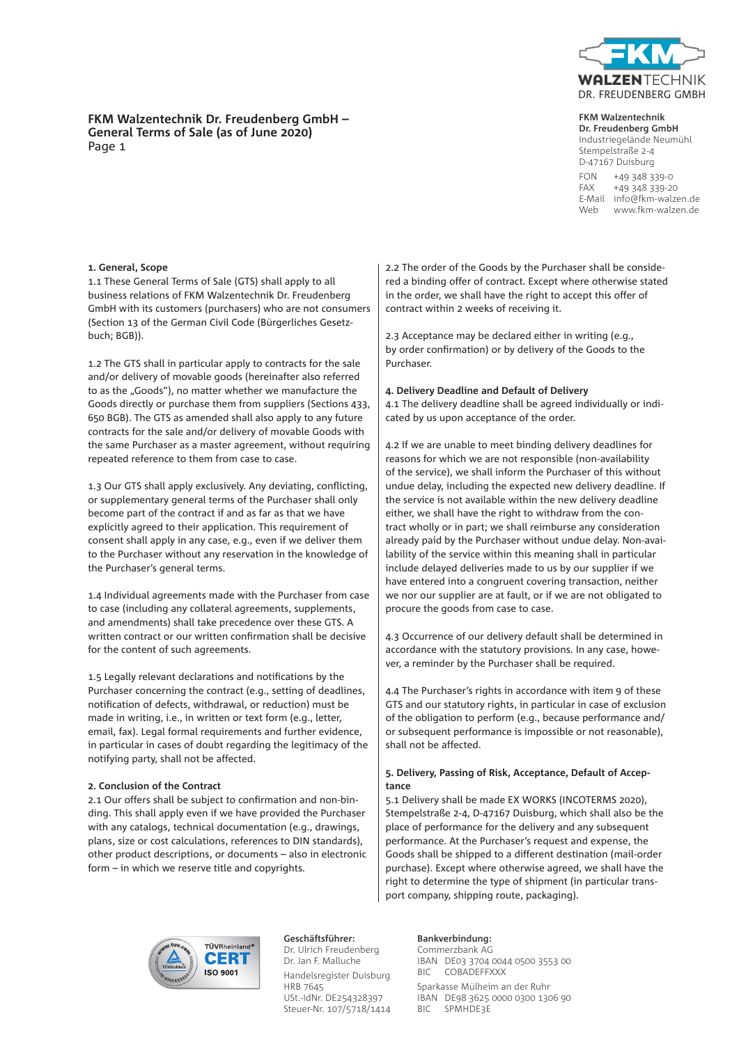

# **FKM Walzentechnik**

**Dr. Freudenberg GmbH** Industriegelände Neumühl Stempelstraße 2-4 D-47167 Duisburg FON +49 348 339-0 FAX +49 348 339-20 E-Mail info@fkm-walzen.de Web www.fkm-walzen.de

# **FKM Walzentechnik Dr. Freudenberg GmbH – General Terms of Sale (as of June 2020)** Page 1

# **1. General, Scope**

1.1 These General Terms of Sale (GTS) shall apply to all business relations of FKM Walzentechnik Dr. Freudenberg GmbH with its customers (purchasers) who are not consumers (Section 13 of the German Civil Code (Bürgerliches Gesetzbuch; BGB)).

1.2 The GTS shall in particular apply to contracts for the sale and/or delivery of movable goods (hereinafter also referred to as the "Goods"), no matter whether we manufacture the Goods directly or purchase them from suppliers (Sections 433, 650 BGB). The GTS as amended shall also apply to any future contracts for the sale and/or delivery of movable Goods with the same Purchaser as a master agreement, without requiring repeated reference to them from case to case.

1.3 Our GTS shall apply exclusively. Any deviating, conflicting, or supplementary general terms of the Purchaser shall only become part of the contract if and as far as that we have explicitly agreed to their application. This requirement of consent shall apply in any case, e.g., even if we deliver them to the Purchaser without any reservation in the knowledge of the Purchaser's general terms.

1.4 Individual agreements made with the Purchaser from case to case (including any collateral agreements, supplements, and amendments) shall take precedence over these GTS. A written contract or our written confirmation shall be decisive for the content of such agreements.

1.5 Legally relevant declarations and notifications by the Purchaser concerning the contract (e.g., setting of deadlines, notification of defects, withdrawal, or reduction) must be made in writing, i.e., in written or text form (e.g., letter, email, fax). Legal formal requirements and further evidence, in particular in cases of doubt regarding the legitimacy of the notifying party, shall not be affected.

#### **2. Conclusion of the Contract**

2.1 Our offers shall be subject to confirmation and non-binding. This shall apply even if we have provided the Purchaser with any catalogs, technical documentation (e.g., drawings, plans, size or cost calculations, references to DIN standards), other product descriptions, or documents – also in electronic form – in which we reserve title and copyrights.

2.2 The order of the Goods by the Purchaser shall be considered a binding offer of contract. Except where otherwise stated in the order, we shall have the right to accept this offer of contract within 2 weeks of receiving it.

2.3 Acceptance may be declared either in writing (e.g., by order confirmation) or by delivery of the Goods to the Purchaser.

# **4. Delivery Deadline and Default of Delivery**

4.1 The delivery deadline shall be agreed individually or indicated by us upon acceptance of the order.

4.2 If we are unable to meet binding delivery deadlines for reasons for which we are not responsible (non-availability of the service), we shall inform the Purchaser of this without undue delay, including the expected new delivery deadline. If the service is not available within the new delivery deadline either, we shall have the right to withdraw from the contract wholly or in part; we shall reimburse any consideration already paid by the Purchaser without undue delay. Non-availability of the service within this meaning shall in particular include delayed deliveries made to us by our supplier if we have entered into a congruent covering transaction, neither we nor our supplier are at fault, or if we are not obligated to procure the goods from case to case.

4.3 Occurrence of our delivery default shall be determined in accordance with the statutory provisions. In any case, however, a reminder by the Purchaser shall be required.

4.4 The Purchaser's rights in accordance with item 9 of these GTS and our statutory rights, in particular in case of exclusion of the obligation to perform (e.g., because performance and/ or subsequent performance is impossible or not reasonable), shall not be affected.

# **5. Delivery, Passing of Risk, Acceptance, Default of Acceptance**

5.1 Delivery shall be made EX WORKS (INCOTERMS 2020), Stempelstraße 2-4, D-47167 Duisburg, which shall also be the place of performance for the delivery and any subsequent performance. At the Purchaser's request and expense, the Goods shall be shipped to a different destination (mail-order purchase). Except where otherwise agreed, we shall have the right to determine the type of shipment (in particular transport company, shipping route, packaging).



**Geschäftsführer:** Dr. Ulrich Freudenberg Dr. Jan F. Malluche Handelsregister Duisburg HRB 7645 USt.-IdNr. DE254328397 Steuer-Nr. 107/5718/1414

# **Bankverbindung:**

Commerzbank AG IBAN DE03 3704 0044 0500 3553 00 BIC COBADEFFXXX Sparkasse Mülheim an der Ruhr IBAN DE98 3625 0000 0300 1306 90 BIC SPMHDE3E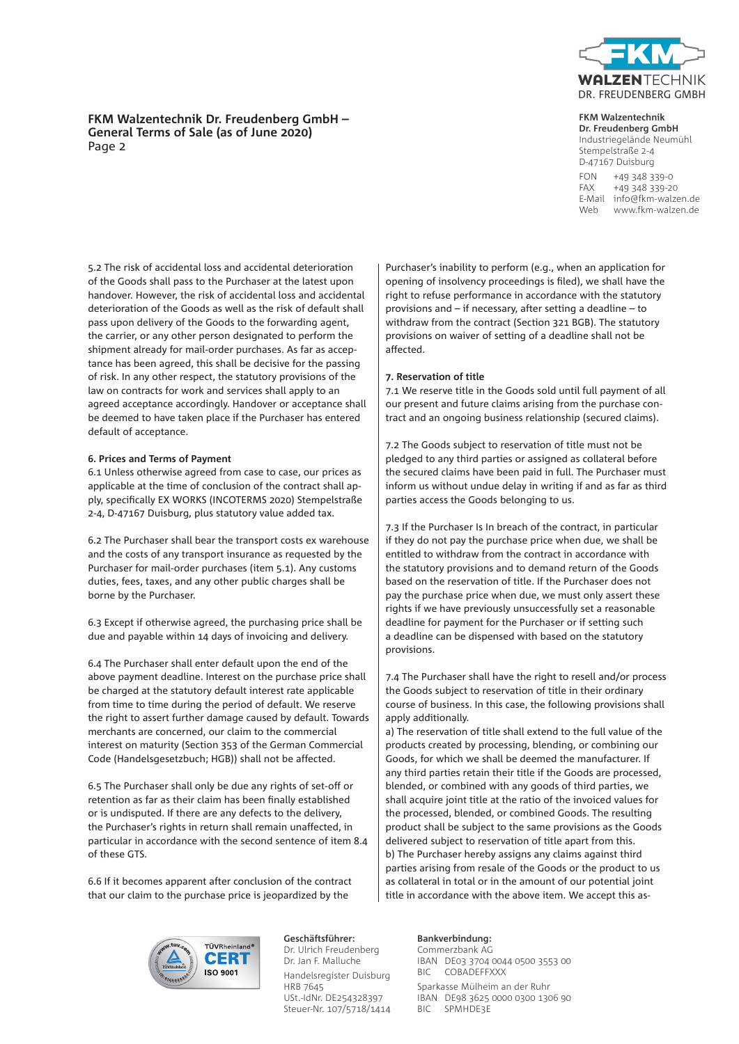

# **FKM Walzentechnik Dr. Freudenberg GmbH – General Terms of Sale (as of June 2020)** Page 2

### **FKM Walzentechnik**

**Dr. Freudenberg GmbH** Industriegelände Neumühl Stempelstraße 2-4 D-47167 Duisburg FON +49 348 339-0 FAX +49 348 339-20 E-Mail info@fkm-walzen.de Web www.fkm-walzen.de

5.2 The risk of accidental loss and accidental deterioration of the Goods shall pass to the Purchaser at the latest upon handover. However, the risk of accidental loss and accidental deterioration of the Goods as well as the risk of default shall pass upon delivery of the Goods to the forwarding agent, the carrier, or any other person designated to perform the shipment already for mail-order purchases. As far as acceptance has been agreed, this shall be decisive for the passing of risk. In any other respect, the statutory provisions of the law on contracts for work and services shall apply to an agreed acceptance accordingly. Handover or acceptance shall be deemed to have taken place if the Purchaser has entered default of acceptance.

# **6. Prices and Terms of Payment**

6.1 Unless otherwise agreed from case to case, our prices as applicable at the time of conclusion of the contract shall apply, specifically EX WORKS (INCOTERMS 2020) Stempelstraße 2-4, D-47167 Duisburg, plus statutory value added tax.

6.2 The Purchaser shall bear the transport costs ex warehouse and the costs of any transport insurance as requested by the Purchaser for mail-order purchases (item 5.1). Any customs duties, fees, taxes, and any other public charges shall be borne by the Purchaser.

6.3 Except if otherwise agreed, the purchasing price shall be due and payable within 14 days of invoicing and delivery.

6.4 The Purchaser shall enter default upon the end of the above payment deadline. Interest on the purchase price shall be charged at the statutory default interest rate applicable from time to time during the period of default. We reserve the right to assert further damage caused by default. Towards merchants are concerned, our claim to the commercial interest on maturity (Section 353 of the German Commercial Code (Handelsgesetzbuch; HGB)) shall not be affected.

6.5 The Purchaser shall only be due any rights of set-off or retention as far as their claim has been finally established or is undisputed. If there are any defects to the delivery, the Purchaser's rights in return shall remain unaffected, in particular in accordance with the second sentence of item 8.4 of these GTS.

6.6 If it becomes apparent after conclusion of the contract that our claim to the purchase price is jeopardized by the

Purchaser's inability to perform (e.g., when an application for opening of insolvency proceedings is filed), we shall have the right to refuse performance in accordance with the statutory provisions and – if necessary, after setting a deadline – to withdraw from the contract (Section 321 BGB). The statutory provisions on waiver of setting of a deadline shall not be affected.

# **7. Reservation of title**

7.1 We reserve title in the Goods sold until full payment of all our present and future claims arising from the purchase contract and an ongoing business relationship (secured claims).

7.2 The Goods subject to reservation of title must not be pledged to any third parties or assigned as collateral before the secured claims have been paid in full. The Purchaser must inform us without undue delay in writing if and as far as third parties access the Goods belonging to us.

7.3 If the Purchaser Is In breach of the contract, in particular if they do not pay the purchase price when due, we shall be entitled to withdraw from the contract in accordance with the statutory provisions and to demand return of the Goods based on the reservation of title. If the Purchaser does not pay the purchase price when due, we must only assert these rights if we have previously unsuccessfully set a reasonable deadline for payment for the Purchaser or if setting such a deadline can be dispensed with based on the statutory provisions.

7.4 The Purchaser shall have the right to resell and/or process the Goods subject to reservation of title in their ordinary course of business. In this case, the following provisions shall apply additionally.

a) The reservation of title shall extend to the full value of the products created by processing, blending, or combining our Goods, for which we shall be deemed the manufacturer. If any third parties retain their title if the Goods are processed, blended, or combined with any goods of third parties, we shall acquire joint title at the ratio of the invoiced values for the processed, blended, or combined Goods. The resulting product shall be subject to the same provisions as the Goods delivered subject to reservation of title apart from this. b) The Purchaser hereby assigns any claims against third parties arising from resale of the Goods or the product to us as collateral in total or in the amount of our potential joint title in accordance with the above item. We accept this as-



**Geschäftsführer:** Dr. Ulrich Freudenberg Dr. Jan F. Malluche Handelsregister Duisburg HRB 7645 USt.-IdNr. DE254328397 Steuer-Nr. 107/5718/1414

# **Bankverbindung:**

Commerzbank AG IBAN DE03 3704 0044 0500 3553 00 BIC COBADEFFXXX Sparkasse Mülheim an der Ruhr IBAN DE98 3625 0000 0300 1306 90 BIC SPMHDE3E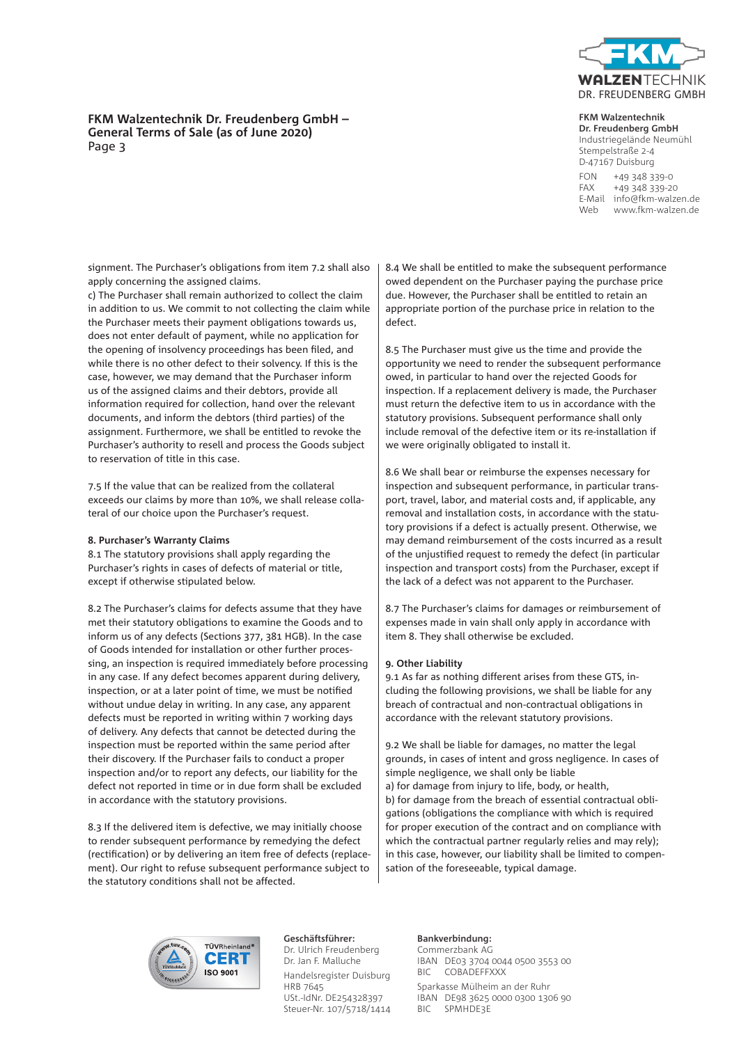

# **FKM Walzentechnik Dr. Freudenberg GmbH – General Terms of Sale (as of June 2020)** Page 3

# **FKM Walzentechnik**

**Dr. Freudenberg GmbH** Industriegelände Neumühl Stempelstraße 2-4 D-47167 Duisburg FON +49 348 339-0 FAX +49 348 339-20 E-Mail info@fkm-walzen.de Web www.fkm-walzen.de

signment. The Purchaser's obligations from item 7.2 shall also apply concerning the assigned claims.

c) The Purchaser shall remain authorized to collect the claim in addition to us. We commit to not collecting the claim while the Purchaser meets their payment obligations towards us, does not enter default of payment, while no application for the opening of insolvency proceedings has been filed, and while there is no other defect to their solvency. If this is the case, however, we may demand that the Purchaser inform us of the assigned claims and their debtors, provide all information required for collection, hand over the relevant documents, and inform the debtors (third parties) of the assignment. Furthermore, we shall be entitled to revoke the Purchaser's authority to resell and process the Goods subject to reservation of title in this case.

7.5 If the value that can be realized from the collateral exceeds our claims by more than 10%, we shall release collateral of our choice upon the Purchaser's request.

# **8. Purchaser's Warranty Claims**

8.1 The statutory provisions shall apply regarding the Purchaser's rights in cases of defects of material or title, except if otherwise stipulated below.

8.2 The Purchaser's claims for defects assume that they have met their statutory obligations to examine the Goods and to inform us of any defects (Sections 377, 381 HGB). In the case of Goods intended for installation or other further processing, an inspection is required immediately before processing in any case. If any defect becomes apparent during delivery, inspection, or at a later point of time, we must be notified without undue delay in writing. In any case, any apparent defects must be reported in writing within 7 working days of delivery. Any defects that cannot be detected during the inspection must be reported within the same period after their discovery. If the Purchaser fails to conduct a proper inspection and/or to report any defects, our liability for the defect not reported in time or in due form shall be excluded in accordance with the statutory provisions.

8.3 If the delivered item is defective, we may initially choose to render subsequent performance by remedying the defect (rectification) or by delivering an item free of defects (replacement). Our right to refuse subsequent performance subject to the statutory conditions shall not be affected.

8.4 We shall be entitled to make the subsequent performance owed dependent on the Purchaser paying the purchase price due. However, the Purchaser shall be entitled to retain an appropriate portion of the purchase price in relation to the defect.

8.5 The Purchaser must give us the time and provide the opportunity we need to render the subsequent performance owed, in particular to hand over the rejected Goods for inspection. If a replacement delivery is made, the Purchaser must return the defective item to us in accordance with the statutory provisions. Subsequent performance shall only include removal of the defective item or its re-installation if we were originally obligated to install it.

8.6 We shall bear or reimburse the expenses necessary for inspection and subsequent performance, in particular transport, travel, labor, and material costs and, if applicable, any removal and installation costs, in accordance with the statutory provisions if a defect is actually present. Otherwise, we may demand reimbursement of the costs incurred as a result of the unjustified request to remedy the defect (in particular inspection and transport costs) from the Purchaser, except if the lack of a defect was not apparent to the Purchaser.

8.7 The Purchaser's claims for damages or reimbursement of expenses made in vain shall only apply in accordance with item 8. They shall otherwise be excluded.

# **9. Other Liability**

9.1 As far as nothing different arises from these GTS, including the following provisions, we shall be liable for any breach of contractual and non-contractual obligations in accordance with the relevant statutory provisions.

9.2 We shall be liable for damages, no matter the legal grounds, in cases of intent and gross negligence. In cases of simple negligence, we shall only be liable a) for damage from injury to life, body, or health, b) for damage from the breach of essential contractual obligations (obligations the compliance with which is required for proper execution of the contract and on compliance with which the contractual partner regularly relies and may rely); in this case, however, our liability shall be limited to compensation of the foreseeable, typical damage.



**Geschäftsführer:** Dr. Ulrich Freudenberg Dr. Jan F. Malluche Handelsregister Duisburg HRB 7645 USt.-IdNr. DE254328397 Steuer-Nr. 107/5718/1414

# **Bankverbindung:**

Commerzbank AG IBAN DE03 3704 0044 0500 3553 00 BIC COBADEFFXXX Sparkasse Mülheim an der Ruhr IBAN DE98 3625 0000 0300 1306 90 BIC SPMHDE3E